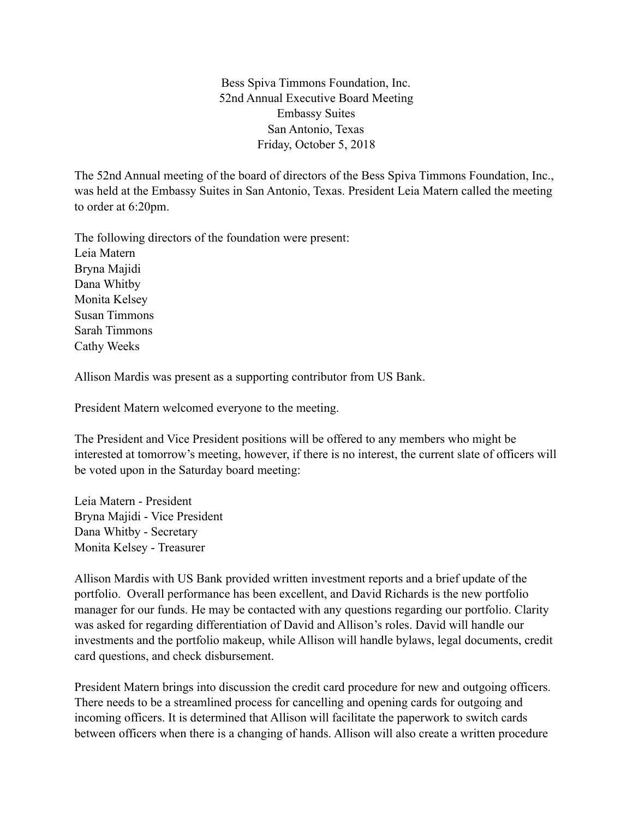Bess Spiva Timmons Foundation, Inc. 52nd Annual Executive Board Meeting Embassy Suites San Antonio, Texas Friday, October 5, 2018

The 52nd Annual meeting of the board of directors of the Bess Spiva Timmons Foundation, Inc., was held at the Embassy Suites in San Antonio, Texas. President Leia Matern called the meeting to order at 6:20pm.

The following directors of the foundation were present: Leia Matern Bryna Majidi Dana Whitby Monita Kelsey Susan Timmons Sarah Timmons Cathy Weeks

Allison Mardis was present as a supporting contributor from US Bank.

President Matern welcomed everyone to the meeting.

The President and Vice President positions will be offered to any members who might be interested at tomorrow's meeting, however, if there is no interest, the current slate of officers will be voted upon in the Saturday board meeting:

Leia Matern - President Bryna Majidi - Vice President Dana Whitby - Secretary Monita Kelsey - Treasurer

Allison Mardis with US Bank provided written investment reports and a brief update of the portfolio. Overall performance has been excellent, and David Richards is the new portfolio manager for our funds. He may be contacted with any questions regarding our portfolio. Clarity was asked for regarding differentiation of David and Allison's roles. David will handle our investments and the portfolio makeup, while Allison will handle bylaws, legal documents, credit card questions, and check disbursement.

President Matern brings into discussion the credit card procedure for new and outgoing officers. There needs to be a streamlined process for cancelling and opening cards for outgoing and incoming officers. It is determined that Allison will facilitate the paperwork to switch cards between officers when there is a changing of hands. Allison will also create a written procedure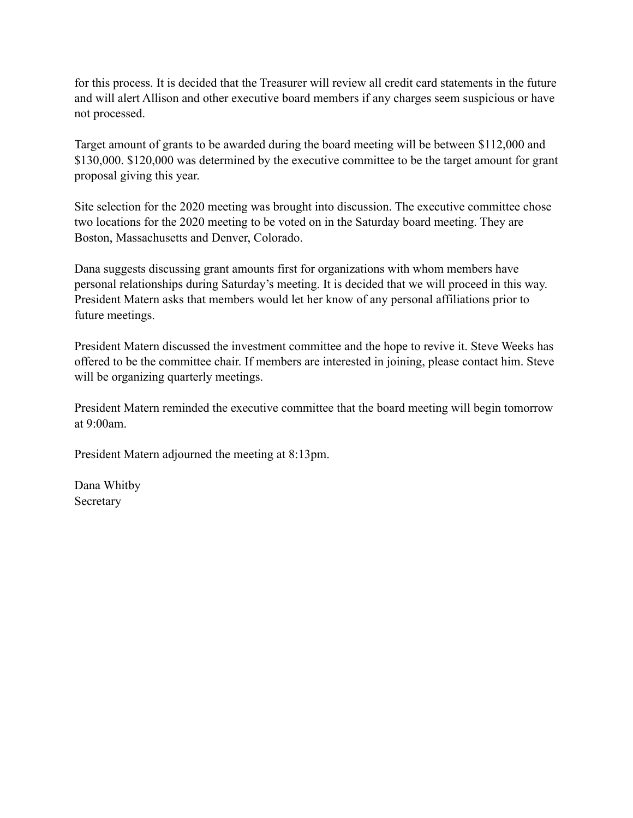for this process. It is decided that the Treasurer will review all credit card statements in the future and will alert Allison and other executive board members if any charges seem suspicious or have not processed.

Target amount of grants to be awarded during the board meeting will be between \$112,000 and \$130,000. \$120,000 was determined by the executive committee to be the target amount for grant proposal giving this year.

Site selection for the 2020 meeting was brought into discussion. The executive committee chose two locations for the 2020 meeting to be voted on in the Saturday board meeting. They are Boston, Massachusetts and Denver, Colorado.

Dana suggests discussing grant amounts first for organizations with whom members have personal relationships during Saturday's meeting. It is decided that we will proceed in this way. President Matern asks that members would let her know of any personal affiliations prior to future meetings.

President Matern discussed the investment committee and the hope to revive it. Steve Weeks has offered to be the committee chair. If members are interested in joining, please contact him. Steve will be organizing quarterly meetings.

President Matern reminded the executive committee that the board meeting will begin tomorrow at  $9.00$ am.

President Matern adjourned the meeting at 8:13pm.

Dana Whitby Secretary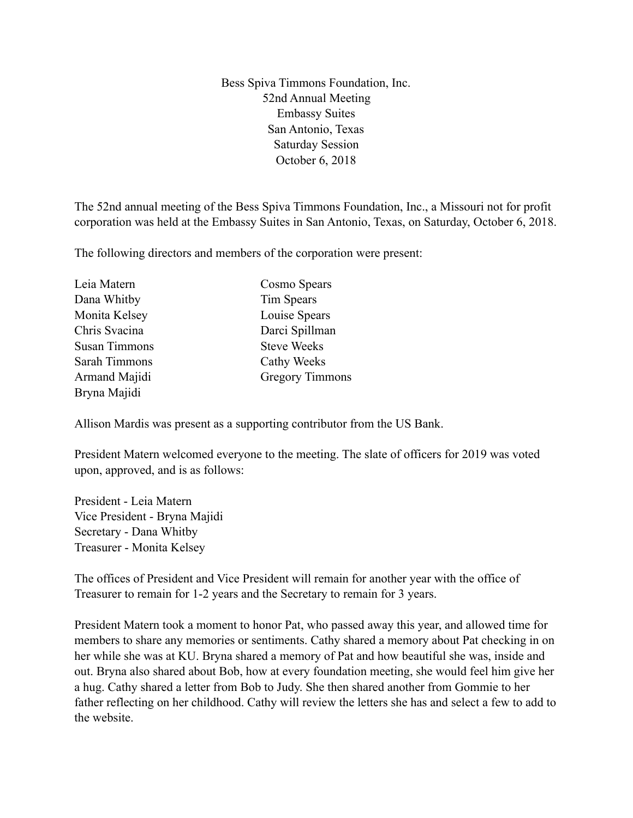Bess Spiva Timmons Foundation, Inc. 52nd Annual Meeting Embassy Suites San Antonio, Texas Saturday Session October 6, 2018

The 52nd annual meeting of the Bess Spiva Timmons Foundation, Inc., a Missouri not for profit corporation was held at the Embassy Suites in San Antonio, Texas, on Saturday, October 6, 2018.

The following directors and members of the corporation were present:

| Leia Matern          | Cosmo Spears           |
|----------------------|------------------------|
| Dana Whitby          | Tim Spears             |
| Monita Kelsey        | Louise Spears          |
| Chris Svacina        | Darci Spillman         |
| <b>Susan Timmons</b> | <b>Steve Weeks</b>     |
| Sarah Timmons        | Cathy Weeks            |
| Armand Majidi        | <b>Gregory Timmons</b> |
| Bryna Majidi         |                        |

Allison Mardis was present as a supporting contributor from the US Bank.

President Matern welcomed everyone to the meeting. The slate of officers for 2019 was voted upon, approved, and is as follows:

President - Leia Matern Vice President - Bryna Majidi Secretary - Dana Whitby Treasurer - Monita Kelsey

The offices of President and Vice President will remain for another year with the office of Treasurer to remain for 1-2 years and the Secretary to remain for 3 years.

President Matern took a moment to honor Pat, who passed away this year, and allowed time for members to share any memories or sentiments. Cathy shared a memory about Pat checking in on her while she was at KU. Bryna shared a memory of Pat and how beautiful she was, inside and out. Bryna also shared about Bob, how at every foundation meeting, she would feel him give her a hug. Cathy shared a letter from Bob to Judy. She then shared another from Gommie to her father reflecting on her childhood. Cathy will review the letters she has and select a few to add to the website.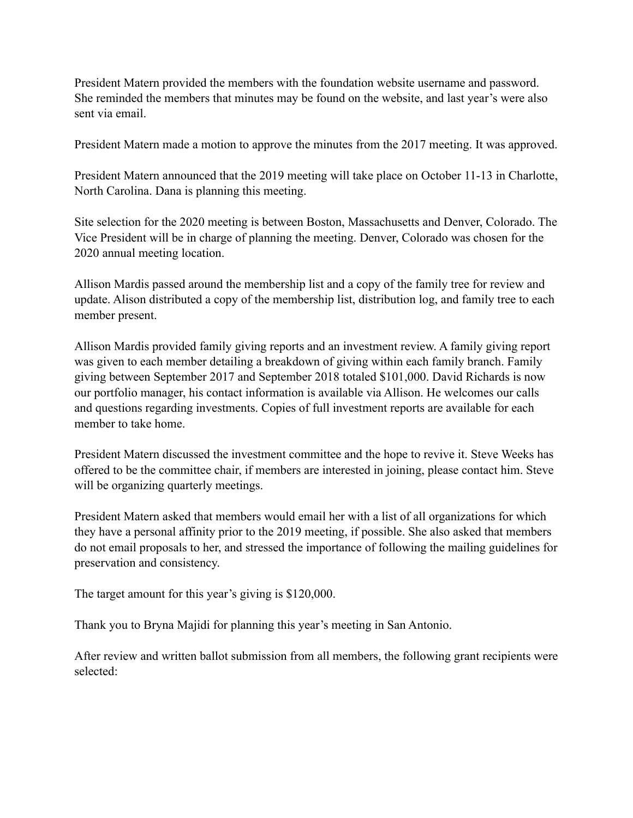President Matern provided the members with the foundation website username and password. She reminded the members that minutes may be found on the website, and last year's were also sent via email.

President Matern made a motion to approve the minutes from the 2017 meeting. It was approved.

President Matern announced that the 2019 meeting will take place on October 11-13 in Charlotte, North Carolina. Dana is planning this meeting.

Site selection for the 2020 meeting is between Boston, Massachusetts and Denver, Colorado. The Vice President will be in charge of planning the meeting. Denver, Colorado was chosen for the 2020 annual meeting location.

Allison Mardis passed around the membership list and a copy of the family tree for review and update. Alison distributed a copy of the membership list, distribution log, and family tree to each member present.

Allison Mardis provided family giving reports and an investment review. A family giving report was given to each member detailing a breakdown of giving within each family branch. Family giving between September 2017 and September 2018 totaled \$101,000. David Richards is now our portfolio manager, his contact information is available via Allison. He welcomes our calls and questions regarding investments. Copies of full investment reports are available for each member to take home.

President Matern discussed the investment committee and the hope to revive it. Steve Weeks has offered to be the committee chair, if members are interested in joining, please contact him. Steve will be organizing quarterly meetings.

President Matern asked that members would email her with a list of all organizations for which they have a personal affinity prior to the 2019 meeting, if possible. She also asked that members do not email proposals to her, and stressed the importance of following the mailing guidelines for preservation and consistency.

The target amount for this year's giving is \$120,000.

Thank you to Bryna Majidi for planning this year's meeting in San Antonio.

After review and written ballot submission from all members, the following grant recipients were selected: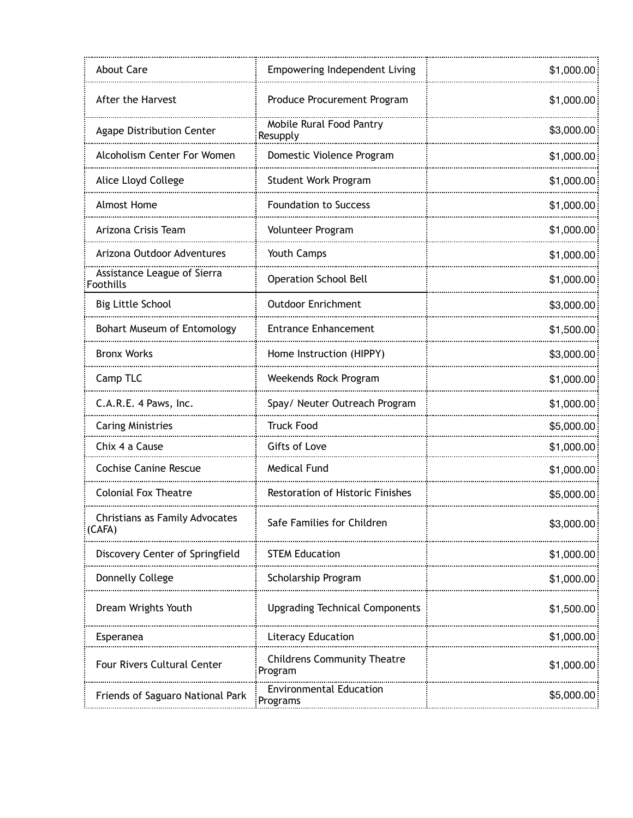| <b>About Care</b>                               | <b>Empowering Independent Living</b>          | \$1,000.00 |
|-------------------------------------------------|-----------------------------------------------|------------|
| After the Harvest                               | Produce Procurement Program                   | \$1,000.00 |
| <b>Agape Distribution Center</b>                | Mobile Rural Food Pantry<br>Resupply          | \$3,000.00 |
| Alcoholism Center For Women                     | Domestic Violence Program                     | \$1,000.00 |
| Alice Lloyd College                             | <b>Student Work Program</b>                   | \$1,000.00 |
| <b>Almost Home</b>                              | <b>Foundation to Success</b>                  | \$1,000.00 |
| Arizona Crisis Team                             | Volunteer Program                             | \$1,000.00 |
| Arizona Outdoor Adventures                      | Youth Camps                                   | \$1,000.00 |
| Assistance League of Sierra<br><b>Foothills</b> | <b>Operation School Bell</b>                  | \$1,000.00 |
| <b>Big Little School</b>                        | <b>Outdoor Enrichment</b>                     | \$3,000.00 |
| Bohart Museum of Entomology                     | <b>Entrance Enhancement</b>                   | \$1,500.00 |
| <b>Bronx Works</b>                              | Home Instruction (HIPPY)                      | \$3,000.00 |
| Camp TLC                                        | Weekends Rock Program                         | \$1,000.00 |
| C.A.R.E. 4 Paws, Inc.                           | Spay/ Neuter Outreach Program                 | \$1,000.00 |
| <b>Caring Ministries</b>                        | <b>Truck Food</b>                             | \$5,000.00 |
| Chix 4 a Cause                                  | Gifts of Love                                 | \$1,000.00 |
| <b>Cochise Canine Rescue</b>                    | <b>Medical Fund</b>                           | \$1,000.00 |
| <b>Colonial Fox Theatre</b>                     | Restoration of Historic Finishes              | \$5,000.00 |
| Christians as Family Advocates<br>(CAFA)        | Safe Families for Children                    | \$3,000.00 |
| Discovery Center of Springfield                 | <b>STEM Education</b>                         | \$1,000.00 |
| Donnelly College                                | Scholarship Program                           | \$1,000.00 |
| Dream Wrights Youth                             | <b>Upgrading Technical Components</b>         | \$1,500.00 |
| Esperanea                                       | <b>Literacy Education</b>                     | \$1,000.00 |
| <b>Four Rivers Cultural Center</b>              | <b>Childrens Community Theatre</b><br>Program | \$1,000.00 |
| Friends of Saguaro National Park                | <b>Environmental Education</b><br>Programs    | \$5,000.00 |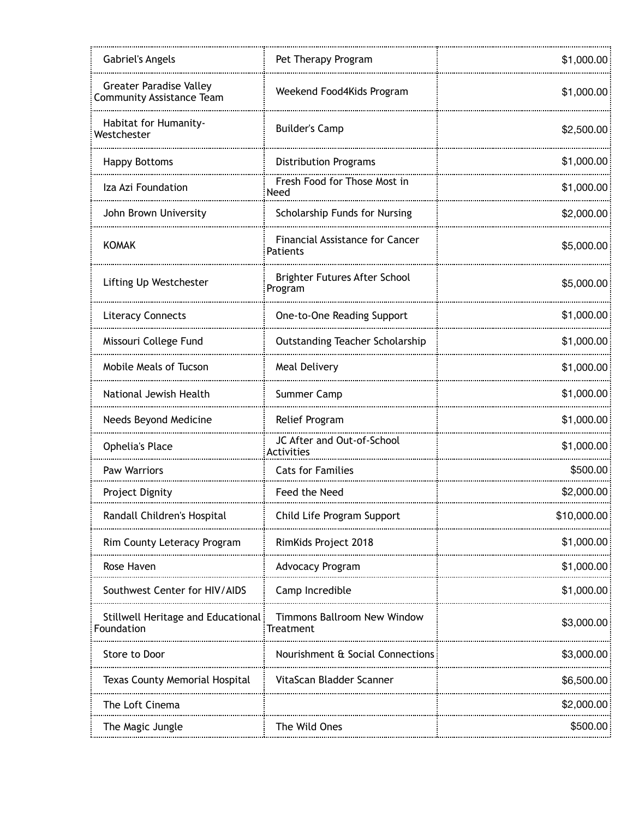| <b>Gabriel's Angels</b>                                            | Pet Therapy Program                         | \$1,000.00  |
|--------------------------------------------------------------------|---------------------------------------------|-------------|
| <b>Greater Paradise Valley</b><br><b>Community Assistance Team</b> | Weekend Food4Kids Program                   | \$1,000.00  |
| Habitat for Humanity-<br>Westchester                               | <b>Builder's Camp</b>                       | \$2,500.00  |
| <b>Happy Bottoms</b>                                               | <b>Distribution Programs</b>                | \$1,000.00  |
| Iza Azi Foundation                                                 | Fresh Food for Those Most in<br>Need        | \$1,000.00  |
| John Brown University                                              | Scholarship Funds for Nursing               | \$2,000.00  |
| <b>KOMAK</b>                                                       | Financial Assistance for Cancer<br>Patients | \$5,000.00  |
| Lifting Up Westchester                                             | Brighter Futures After School<br>Program    | \$5,000.00  |
| <b>Literacy Connects</b>                                           | One-to-One Reading Support                  | \$1,000.00  |
| Missouri College Fund                                              | <b>Outstanding Teacher Scholarship</b>      | \$1,000.00  |
| Mobile Meals of Tucson                                             | Meal Delivery                               | \$1,000.00  |
| National Jewish Health                                             | Summer Camp                                 | \$1,000.00  |
| Needs Beyond Medicine                                              | Relief Program                              | \$1,000.00  |
| <b>Ophelia's Place</b>                                             | JC After and Out-of-School<br>Activities    | \$1,000.00  |
| Paw Warriors                                                       | <b>Cats for Families</b>                    | \$500.00    |
| Project Dignity                                                    | Feed the Need                               | \$2,000.00  |
| Randall Children's Hospital                                        | Child Life Program Support                  | \$10,000.00 |
| Rim County Leteracy Program                                        | RimKids Project 2018                        | \$1,000.00  |
| Rose Haven                                                         | Advocacy Program                            | \$1,000.00  |
| Southwest Center for HIV/AIDS                                      | Camp Incredible                             | \$1,000.00  |
| Stillwell Heritage and Educational<br>Foundation                   | Timmons Ballroom New Window<br>Treatment    | \$3,000.00  |
| Store to Door                                                      | Nourishment & Social Connections            | \$3,000.00  |
| Texas County Memorial Hospital                                     | VitaScan Bladder Scanner                    | \$6,500.00  |
| The Loft Cinema                                                    |                                             | \$2,000.00  |
| The Magic Jungle                                                   | The Wild Ones                               | \$500.00    |